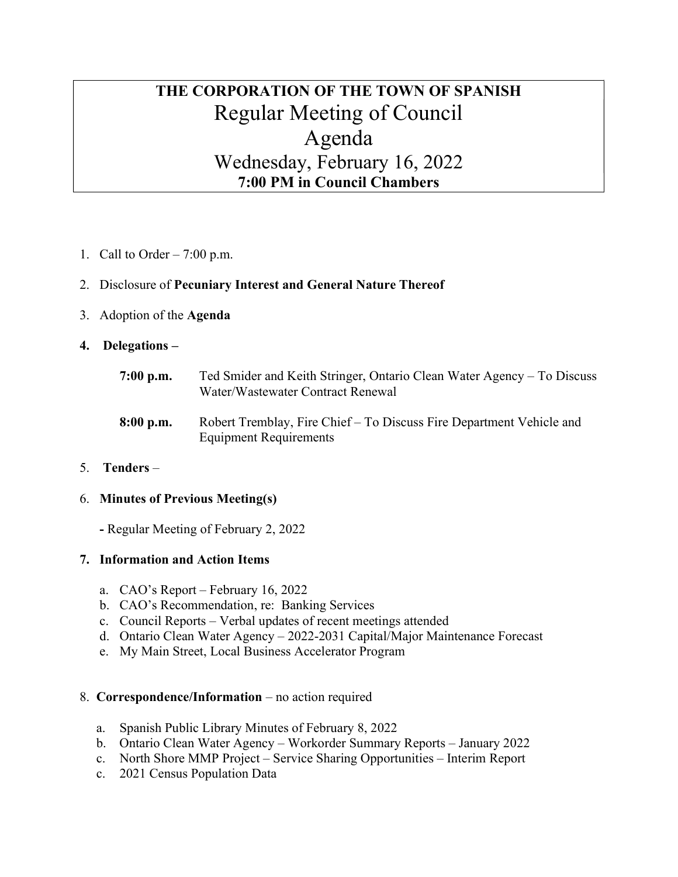# THE CORPORATION OF THE TOWN OF SPANISH Regular Meeting of Council Agenda Wednesday, February 16, 2022 7:00 PM in Council Chambers

1. Call to Order  $-7:00$  p.m.

# 2. Disclosure of Pecuniary Interest and General Nature Thereof

3. Adoption of the Agenda

## 4. Delegations –

- 7:00 p.m. Ted Smider and Keith Stringer, Ontario Clean Water Agency To Discuss Water/Wastewater Contract Renewal
- 8:00 p.m. Robert Tremblay, Fire Chief To Discuss Fire Department Vehicle and Equipment Requirements
- 5. Tenders –

### 6. Minutes of Previous Meeting(s)

- Regular Meeting of February 2, 2022

### 7. Information and Action Items

- a. CAO's Report February 16, 2022
- b. CAO's Recommendation, re: Banking Services
- c. Council Reports Verbal updates of recent meetings attended
- d. Ontario Clean Water Agency 2022-2031 Capital/Major Maintenance Forecast
- e. My Main Street, Local Business Accelerator Program

### 8. Correspondence/Information – no action required

- a. Spanish Public Library Minutes of February 8, 2022
- b. Ontario Clean Water Agency Workorder Summary Reports January 2022
- c. North Shore MMP Project Service Sharing Opportunities Interim Report
- c. 2021 Census Population Data